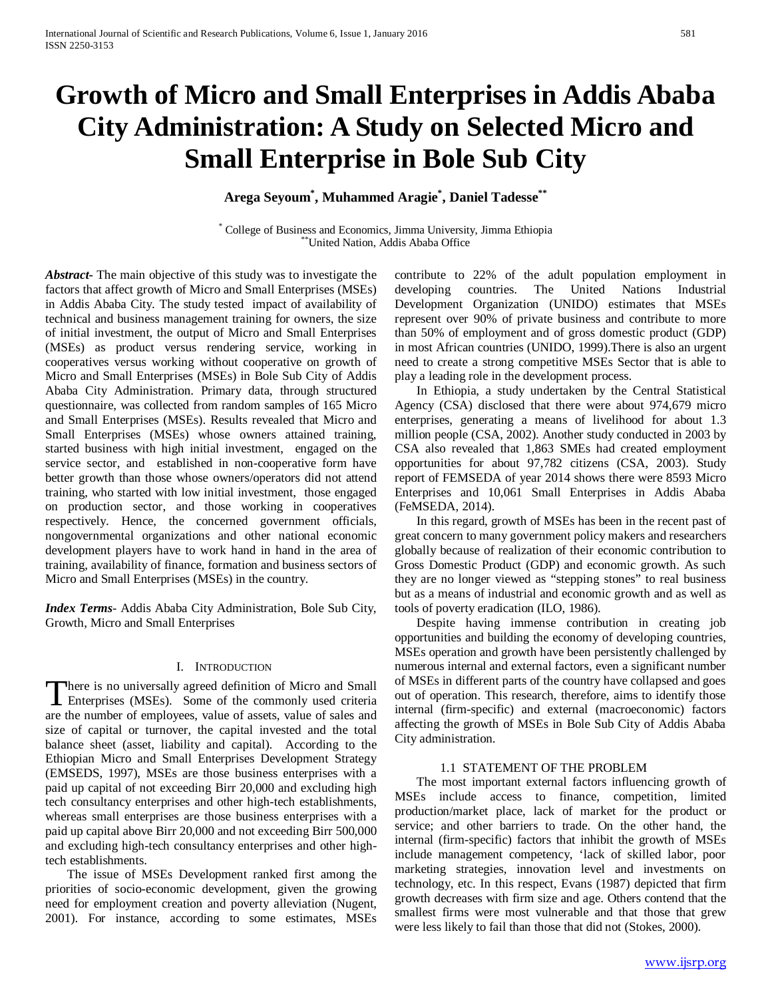# **Growth of Micro and Small Enterprises in Addis Ababa City Administration: A Study on Selected Micro and Small Enterprise in Bole Sub City**

**Arega Seyoum\* , Muhammed Aragie\* , Daniel Tadesse\*\***

\* College of Business and Economics, Jimma University, Jimma Ethiopia \*\*United Nation, Addis Ababa Office

*Abstract***-** The main objective of this study was to investigate the factors that affect growth of Micro and Small Enterprises (MSEs) in Addis Ababa City. The study tested impact of availability of technical and business management training for owners, the size of initial investment, the output of Micro and Small Enterprises (MSEs) as product versus rendering service, working in cooperatives versus working without cooperative on growth of Micro and Small Enterprises (MSEs) in Bole Sub City of Addis Ababa City Administration. Primary data, through structured questionnaire, was collected from random samples of 165 Micro and Small Enterprises (MSEs). Results revealed that Micro and Small Enterprises (MSEs) whose owners attained training, started business with high initial investment, engaged on the service sector, and established in non-cooperative form have better growth than those whose owners/operators did not attend training, who started with low initial investment, those engaged on production sector, and those working in cooperatives respectively. Hence, the concerned government officials, nongovernmental organizations and other national economic development players have to work hand in hand in the area of training, availability of finance, formation and business sectors of Micro and Small Enterprises (MSEs) in the country.

*Index Terms*- Addis Ababa City Administration, Bole Sub City, Growth, Micro and Small Enterprises

# I. INTRODUCTION

here is no universally agreed definition of Micro and Small There is no universally agreed definition of Micro and Small<br>Enterprises (MSEs). Some of the commonly used criteria are the number of employees, value of assets, value of sales and size of capital or turnover, the capital invested and the total balance sheet (asset, liability and capital). According to the Ethiopian Micro and Small Enterprises Development Strategy (EMSEDS, 1997), MSEs are those business enterprises with a paid up capital of not exceeding Birr 20,000 and excluding high tech consultancy enterprises and other high-tech establishments, whereas small enterprises are those business enterprises with a paid up capital above Birr 20,000 and not exceeding Birr 500,000 and excluding high-tech consultancy enterprises and other hightech establishments.

 The issue of MSEs Development ranked first among the priorities of socio-economic development, given the growing need for employment creation and poverty alleviation (Nugent, 2001). For instance, according to some estimates, MSEs

contribute to 22% of the adult population employment in developing countries. The United Nations Industrial Development Organization (UNIDO) estimates that MSEs represent over 90% of private business and contribute to more than 50% of employment and of gross domestic product (GDP) in most African countries (UNIDO, 1999).There is also an urgent need to create a strong competitive MSEs Sector that is able to play a leading role in the development process.

 In Ethiopia, a study undertaken by the Central Statistical Agency (CSA) disclosed that there were about 974,679 micro enterprises, generating a means of livelihood for about 1.3 million people (CSA, 2002). Another study conducted in 2003 by CSA also revealed that 1,863 SMEs had created employment opportunities for about 97,782 citizens (CSA, 2003). Study report of FEMSEDA of year 2014 shows there were 8593 Micro Enterprises and 10,061 Small Enterprises in Addis Ababa (FeMSEDA, 2014).

 In this regard, growth of MSEs has been in the recent past of great concern to many government policy makers and researchers globally because of realization of their economic contribution to Gross Domestic Product (GDP) and economic growth. As such they are no longer viewed as "stepping stones" to real business but as a means of industrial and economic growth and as well as tools of poverty eradication (ILO, 1986).

 Despite having immense contribution in creating job opportunities and building the economy of developing countries, MSEs operation and growth have been persistently challenged by numerous internal and external factors, even a significant number of MSEs in different parts of the country have collapsed and goes out of operation. This research, therefore, aims to identify those internal (firm-specific) and external (macroeconomic) factors affecting the growth of MSEs in Bole Sub City of Addis Ababa City administration.

# 1.1 STATEMENT OF THE PROBLEM

 The most important external factors influencing growth of MSEs include access to finance, competition, limited production/market place, lack of market for the product or service; and other barriers to trade. On the other hand, the internal (firm-specific) factors that inhibit the growth of MSEs include management competency, 'lack of skilled labor, poor marketing strategies, innovation level and investments on technology, etc. In this respect, Evans (1987) depicted that firm growth decreases with firm size and age. Others contend that the smallest firms were most vulnerable and that those that grew were less likely to fail than those that did not (Stokes, 2000).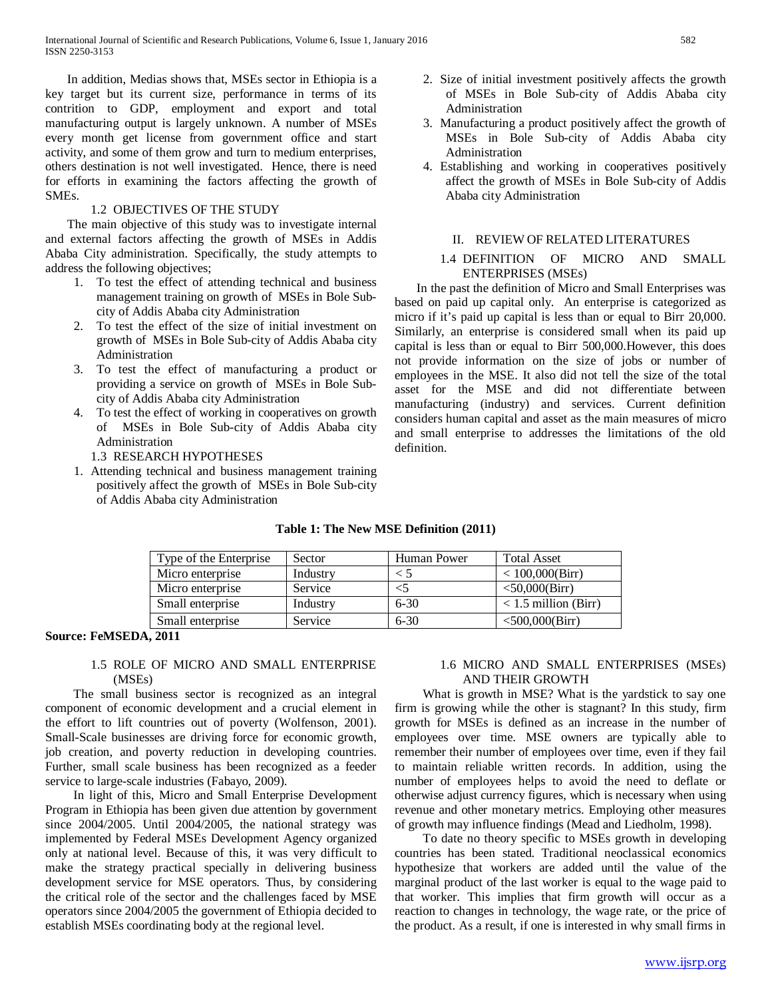In addition, Medias shows that, MSEs sector in Ethiopia is a key target but its current size, performance in terms of its contrition to GDP, employment and export and total manufacturing output is largely unknown. A number of MSEs every month get license from government office and start activity, and some of them grow and turn to medium enterprises, others destination is not well investigated. Hence, there is need for efforts in examining the factors affecting the growth of SMEs.

# 1.2 OBJECTIVES OF THE STUDY

 The main objective of this study was to investigate internal and external factors affecting the growth of MSEs in Addis Ababa City administration. Specifically, the study attempts to address the following objectives;

- 1. To test the effect of attending technical and business management training on growth of MSEs in Bole Subcity of Addis Ababa city Administration
- 2. To test the effect of the size of initial investment on growth of MSEs in Bole Sub-city of Addis Ababa city Administration
- 3. To test the effect of manufacturing a product or providing a service on growth of MSEs in Bole Subcity of Addis Ababa city Administration
- 4. To test the effect of working in cooperatives on growth of MSEs in Bole Sub-city of Addis Ababa city Administration
	- 1.3 RESEARCH HYPOTHESES
- 1. Attending technical and business management training positively affect the growth of MSEs in Bole Sub-city of Addis Ababa city Administration
- 2. Size of initial investment positively affects the growth of MSEs in Bole Sub-city of Addis Ababa city Administration
- 3. Manufacturing a product positively affect the growth of MSEs in Bole Sub-city of Addis Ababa city Administration
- 4. Establishing and working in cooperatives positively affect the growth of MSEs in Bole Sub-city of Addis Ababa city Administration

# II. REVIEW OF RELATED LITERATURES

# 1.4 DEFINITION OF MICRO AND SMALL ENTERPRISES (MSEs)

 In the past the definition of Micro and Small Enterprises was based on paid up capital only. An enterprise is categorized as micro if it's paid up capital is less than or equal to Birr 20,000. Similarly, an enterprise is considered small when its paid up capital is less than or equal to Birr 500,000.However, this does not provide information on the size of jobs or number of employees in the MSE. It also did not tell the size of the total asset for the MSE and did not differentiate between manufacturing (industry) and services. Current definition considers human capital and asset as the main measures of micro and small enterprise to addresses the limitations of the old definition.

| Type of the Enterprise | Sector   | Human Power | <b>Total Asset</b>     |
|------------------------|----------|-------------|------------------------|
| Micro enterprise       | Industry |             | < 100,000(Birr)        |
| Micro enterprise       | Service  |             | $<$ 50,000(Birr)       |
| Small enterprise       | Industry | $6 - 30$    | $<$ 1.5 million (Birr) |
| Small enterprise       | Service  | $6 - 30$    | $<$ 500,000(Birr)      |

# **Table 1: The New MSE Definition (2011)**

# **Source: FeMSEDA, 2011**

# 1.5 ROLE OF MICRO AND SMALL ENTERPRISE (MSEs)

 The small business sector is recognized as an integral component of economic development and a crucial element in the effort to lift countries out of poverty (Wolfenson, 2001). Small-Scale businesses are driving force for economic growth, job creation, and poverty reduction in developing countries. Further, small scale business has been recognized as a feeder service to large-scale industries (Fabayo, 2009).

 In light of this, Micro and Small Enterprise Development Program in Ethiopia has been given due attention by government since 2004/2005. Until 2004/2005, the national strategy was implemented by Federal MSEs Development Agency organized only at national level. Because of this, it was very difficult to make the strategy practical specially in delivering business development service for MSE operators. Thus, by considering the critical role of the sector and the challenges faced by MSE operators since 2004/2005 the government of Ethiopia decided to establish MSEs coordinating body at the regional level.

# 1.6 MICRO AND SMALL ENTERPRISES (MSEs) AND THEIR GROWTH

 What is growth in MSE? What is the yardstick to say one firm is growing while the other is stagnant? In this study, firm growth for MSEs is defined as an increase in the number of employees over time. MSE owners are typically able to remember their number of employees over time, even if they fail to maintain reliable written records. In addition, using the number of employees helps to avoid the need to deflate or otherwise adjust currency figures, which is necessary when using revenue and other monetary metrics. Employing other measures of growth may influence findings (Mead and Liedholm, 1998).

 To date no theory specific to MSEs growth in developing countries has been stated. Traditional neoclassical economics hypothesize that workers are added until the value of the marginal product of the last worker is equal to the wage paid to that worker. This implies that firm growth will occur as a reaction to changes in technology, the wage rate, or the price of the product. As a result, if one is interested in why small firms in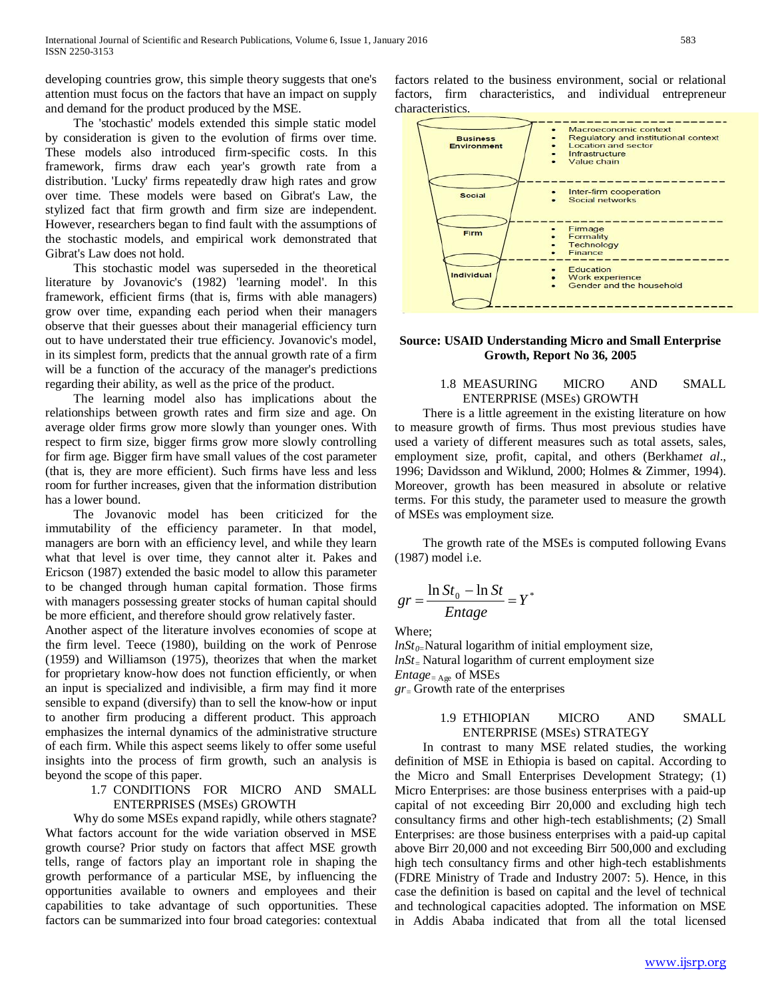developing countries grow, this simple theory suggests that one's attention must focus on the factors that have an impact on supply and demand for the product produced by the MSE.

 The 'stochastic' models extended this simple static model by consideration is given to the evolution of firms over time. These models also introduced firm-specific costs. In this framework, firms draw each year's growth rate from a distribution. 'Lucky' firms repeatedly draw high rates and grow over time. These models were based on Gibrat's Law, the stylized fact that firm growth and firm size are independent. However, researchers began to find fault with the assumptions of the stochastic models, and empirical work demonstrated that Gibrat's Law does not hold.

 This stochastic model was superseded in the theoretical literature by Jovanovic's (1982) 'learning model'. In this framework, efficient firms (that is, firms with able managers) grow over time, expanding each period when their managers observe that their guesses about their managerial efficiency turn out to have understated their true efficiency. Jovanovic's model, in its simplest form, predicts that the annual growth rate of a firm will be a function of the accuracy of the manager's predictions regarding their ability, as well as the price of the product.

 The learning model also has implications about the relationships between growth rates and firm size and age. On average older firms grow more slowly than younger ones. With respect to firm size, bigger firms grow more slowly controlling for firm age. Bigger firm have small values of the cost parameter (that is, they are more efficient). Such firms have less and less room for further increases, given that the information distribution has a lower bound.

 The Jovanovic model has been criticized for the immutability of the efficiency parameter. In that model, managers are born with an efficiency level, and while they learn what that level is over time, they cannot alter it. Pakes and Ericson (1987) extended the basic model to allow this parameter to be changed through human capital formation. Those firms with managers possessing greater stocks of human capital should be more efficient, and therefore should grow relatively faster.

Another aspect of the literature involves economies of scope at the firm level. Teece (1980), building on the work of Penrose (1959) and Williamson (1975), theorizes that when the market for proprietary know-how does not function efficiently, or when an input is specialized and indivisible, a firm may find it more sensible to expand (diversify) than to sell the know-how or input to another firm producing a different product. This approach emphasizes the internal dynamics of the administrative structure of each firm. While this aspect seems likely to offer some useful insights into the process of firm growth, such an analysis is beyond the scope of this paper.

# 1.7 CONDITIONS FOR MICRO AND SMALL ENTERPRISES (MSEs) GROWTH

 Why do some MSEs expand rapidly, while others stagnate? What factors account for the wide variation observed in MSE growth course? Prior study on factors that affect MSE growth tells, range of factors play an important role in shaping the growth performance of a particular MSE, by influencing the opportunities available to owners and employees and their capabilities to take advantage of such opportunities. These factors can be summarized into four broad categories: contextual factors related to the business environment, social or relational factors, firm characteristics, and individual entrepreneur characteristics.



# **Source: USAID Understanding Micro and Small Enterprise Growth, Report No 36, 2005**

# 1.8 MEASURING MICRO AND SMALL ENTERPRISE (MSEs) GROWTH

 There is a little agreement in the existing literature on how to measure growth of firms. Thus most previous studies have used a variety of different measures such as total assets, sales, employment size, profit, capital, and others (Berkham*et al*., 1996; Davidsson and Wiklund, 2000; Holmes & Zimmer, 1994). Moreover, growth has been measured in absolute or relative terms. For this study, the parameter used to measure the growth of MSEs was employment size.

 The growth rate of the MSEs is computed following Evans (1987) model i.e.

$$
gr = \frac{\ln St_0 - \ln St}{Entage} = Y^*
$$

Where;

 $lnSt_{0}$ =Natural logarithm of initial employment size, *lnSt*= Natural logarithm of current employment size *Entage* =  $_{Age}$  of MSEs

*gr*= Growth rate of the enterprises

1.9 ETHIOPIAN MICRO AND SMALL ENTERPRISE (MSEs) STRATEGY

 In contrast to many MSE related studies, the working definition of MSE in Ethiopia is based on capital. According to the Micro and Small Enterprises Development Strategy; (1) Micro Enterprises: are those business enterprises with a paid-up capital of not exceeding Birr 20,000 and excluding high tech consultancy firms and other high-tech establishments; (2) Small Enterprises: are those business enterprises with a paid-up capital above Birr 20,000 and not exceeding Birr 500,000 and excluding high tech consultancy firms and other high-tech establishments (FDRE Ministry of Trade and Industry 2007: 5). Hence, in this case the definition is based on capital and the level of technical and technological capacities adopted. The information on MSE in Addis Ababa indicated that from all the total licensed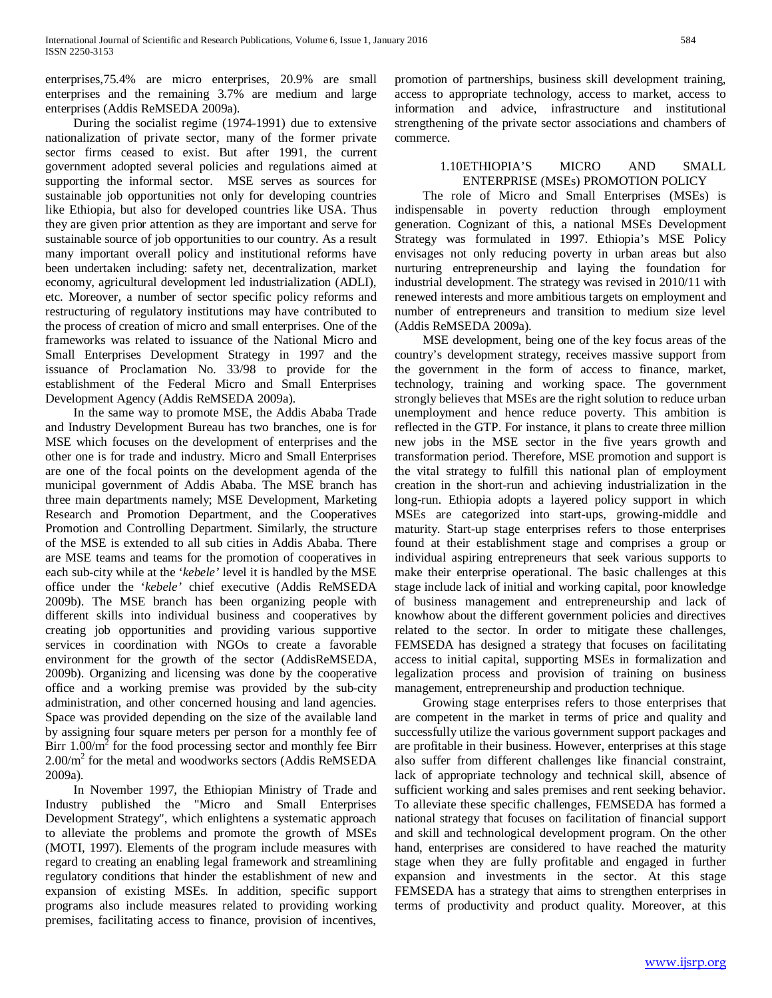enterprises,75.4% are micro enterprises, 20.9% are small enterprises and the remaining 3.7% are medium and large enterprises (Addis ReMSEDA 2009a).

 During the socialist regime (1974-1991) due to extensive nationalization of private sector, many of the former private sector firms ceased to exist. But after 1991, the current government adopted several policies and regulations aimed at supporting the informal sector. MSE serves as sources for sustainable job opportunities not only for developing countries like Ethiopia, but also for developed countries like USA. Thus they are given prior attention as they are important and serve for sustainable source of job opportunities to our country. As a result many important overall policy and institutional reforms have been undertaken including: safety net, decentralization, market economy, agricultural development led industrialization (ADLI), etc. Moreover, a number of sector specific policy reforms and restructuring of regulatory institutions may have contributed to the process of creation of micro and small enterprises. One of the frameworks was related to issuance of the National Micro and Small Enterprises Development Strategy in 1997 and the issuance of Proclamation No. 33/98 to provide for the establishment of the Federal Micro and Small Enterprises Development Agency (Addis ReMSEDA 2009a).

 In the same way to promote MSE, the Addis Ababa Trade and Industry Development Bureau has two branches, one is for MSE which focuses on the development of enterprises and the other one is for trade and industry. Micro and Small Enterprises are one of the focal points on the development agenda of the municipal government of Addis Ababa. The MSE branch has three main departments namely; MSE Development, Marketing Research and Promotion Department, and the Cooperatives Promotion and Controlling Department. Similarly, the structure of the MSE is extended to all sub cities in Addis Ababa. There are MSE teams and teams for the promotion of cooperatives in each sub-city while at the '*kebele'* level it is handled by the MSE office under the '*kebele'* chief executive (Addis ReMSEDA 2009b). The MSE branch has been organizing people with different skills into individual business and cooperatives by creating job opportunities and providing various supportive services in coordination with NGOs to create a favorable environment for the growth of the sector (AddisReMSEDA, 2009b). Organizing and licensing was done by the cooperative office and a working premise was provided by the sub-city administration, and other concerned housing and land agencies. Space was provided depending on the size of the available land by assigning four square meters per person for a monthly fee of Birr  $1.00/m^2$  for the food processing sector and monthly fee Birr  $2.00/m<sup>2</sup>$  for the metal and woodworks sectors (Addis ReMSEDA 2009a).

 In November 1997, the Ethiopian Ministry of Trade and Industry published the "Micro and Small Enterprises Development Strategy", which enlightens a systematic approach to alleviate the problems and promote the growth of MSEs (MOTI, 1997). Elements of the program include measures with regard to creating an enabling legal framework and streamlining regulatory conditions that hinder the establishment of new and expansion of existing MSEs. In addition, specific support programs also include measures related to providing working premises, facilitating access to finance, provision of incentives,

promotion of partnerships, business skill development training, access to appropriate technology, access to market, access to information and advice, infrastructure and institutional strengthening of the private sector associations and chambers of commerce.

# 1.10ETHIOPIA'S MICRO AND SMALL ENTERPRISE (MSEs) PROMOTION POLICY

 The role of Micro and Small Enterprises (MSEs) is indispensable in poverty reduction through employment generation. Cognizant of this, a national MSEs Development Strategy was formulated in 1997. Ethiopia's MSE Policy envisages not only reducing poverty in urban areas but also nurturing entrepreneurship and laying the foundation for industrial development. The strategy was revised in 2010/11 with renewed interests and more ambitious targets on employment and number of entrepreneurs and transition to medium size level (Addis ReMSEDA 2009a).

 MSE development, being one of the key focus areas of the country's development strategy, receives massive support from the government in the form of access to finance, market, technology, training and working space. The government strongly believes that MSEs are the right solution to reduce urban unemployment and hence reduce poverty. This ambition is reflected in the GTP. For instance, it plans to create three million new jobs in the MSE sector in the five years growth and transformation period. Therefore, MSE promotion and support is the vital strategy to fulfill this national plan of employment creation in the short-run and achieving industrialization in the long-run. Ethiopia adopts a layered policy support in which MSEs are categorized into start-ups, growing-middle and maturity. Start-up stage enterprises refers to those enterprises found at their establishment stage and comprises a group or individual aspiring entrepreneurs that seek various supports to make their enterprise operational. The basic challenges at this stage include lack of initial and working capital, poor knowledge of business management and entrepreneurship and lack of knowhow about the different government policies and directives related to the sector. In order to mitigate these challenges, FEMSEDA has designed a strategy that focuses on facilitating access to initial capital, supporting MSEs in formalization and legalization process and provision of training on business management, entrepreneurship and production technique.

 Growing stage enterprises refers to those enterprises that are competent in the market in terms of price and quality and successfully utilize the various government support packages and are profitable in their business. However, enterprises at this stage also suffer from different challenges like financial constraint, lack of appropriate technology and technical skill, absence of sufficient working and sales premises and rent seeking behavior. To alleviate these specific challenges, FEMSEDA has formed a national strategy that focuses on facilitation of financial support and skill and technological development program. On the other hand, enterprises are considered to have reached the maturity stage when they are fully profitable and engaged in further expansion and investments in the sector. At this stage FEMSEDA has a strategy that aims to strengthen enterprises in terms of productivity and product quality. Moreover, at this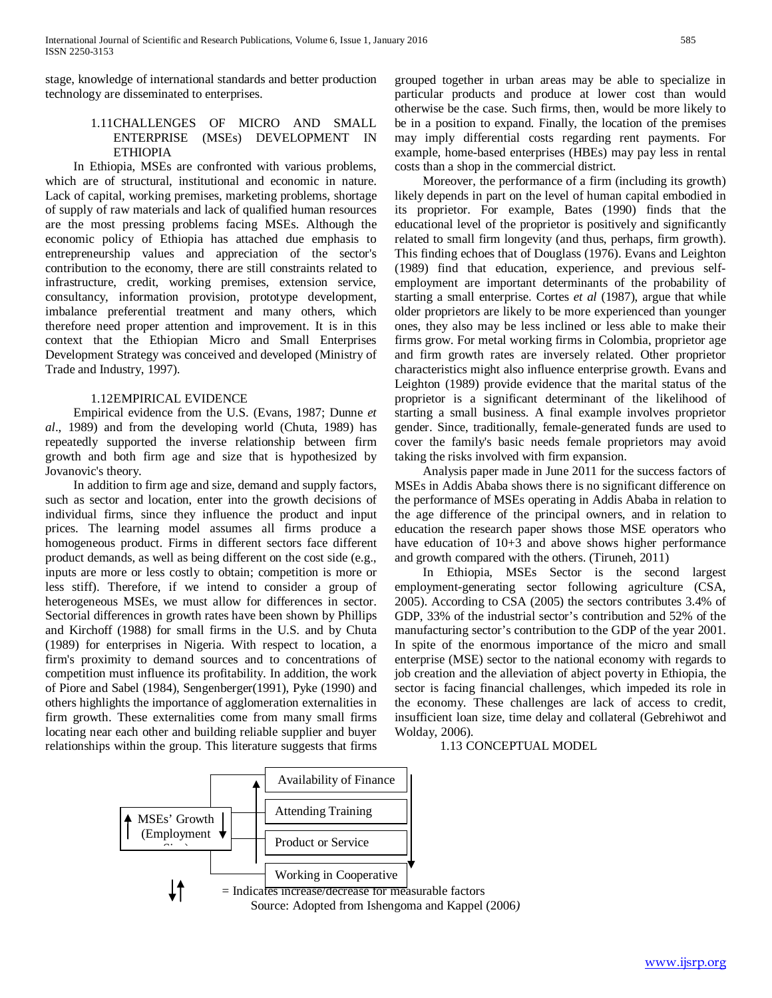stage, knowledge of international standards and better production technology are disseminated to enterprises.

# 1.11CHALLENGES OF MICRO AND SMALL ENTERPRISE (MSEs) DEVELOPMENT IN ETHIOPIA

 In Ethiopia, MSEs are confronted with various problems, which are of structural, institutional and economic in nature. Lack of capital, working premises, marketing problems, shortage of supply of raw materials and lack of qualified human resources are the most pressing problems facing MSEs. Although the economic policy of Ethiopia has attached due emphasis to entrepreneurship values and appreciation of the sector's contribution to the economy, there are still constraints related to infrastructure, credit, working premises, extension service, consultancy, information provision, prototype development, imbalance preferential treatment and many others, which therefore need proper attention and improvement. It is in this context that the Ethiopian Micro and Small Enterprises Development Strategy was conceived and developed (Ministry of Trade and Industry, 1997).

# 1.12EMPIRICAL EVIDENCE

 Empirical evidence from the U.S. (Evans, 1987; Dunne *et al*., 1989) and from the developing world (Chuta, 1989) has repeatedly supported the inverse relationship between firm growth and both firm age and size that is hypothesized by Jovanovic's theory.

 In addition to firm age and size, demand and supply factors, such as sector and location, enter into the growth decisions of individual firms, since they influence the product and input prices. The learning model assumes all firms produce a homogeneous product. Firms in different sectors face different product demands, as well as being different on the cost side (e.g., inputs are more or less costly to obtain; competition is more or less stiff). Therefore, if we intend to consider a group of heterogeneous MSEs, we must allow for differences in sector. Sectorial differences in growth rates have been shown by Phillips and Kirchoff (1988) for small firms in the U.S. and by Chuta (1989) for enterprises in Nigeria. With respect to location, a firm's proximity to demand sources and to concentrations of competition must influence its profitability. In addition, the work of Piore and Sabel (1984), Sengenberger(1991), Pyke (1990) and others highlights the importance of agglomeration externalities in firm growth. These externalities come from many small firms locating near each other and building reliable supplier and buyer relationships within the group. This literature suggests that firms grouped together in urban areas may be able to specialize in particular products and produce at lower cost than would otherwise be the case. Such firms, then, would be more likely to be in a position to expand. Finally, the location of the premises may imply differential costs regarding rent payments. For example, home-based enterprises (HBEs) may pay less in rental costs than a shop in the commercial district.

 Moreover, the performance of a firm (including its growth) likely depends in part on the level of human capital embodied in its proprietor. For example, Bates (1990) finds that the educational level of the proprietor is positively and significantly related to small firm longevity (and thus, perhaps, firm growth). This finding echoes that of Douglass (1976). Evans and Leighton (1989) find that education, experience, and previous selfemployment are important determinants of the probability of starting a small enterprise. Cortes *et al* (1987), argue that while older proprietors are likely to be more experienced than younger ones, they also may be less inclined or less able to make their firms grow. For metal working firms in Colombia, proprietor age and firm growth rates are inversely related. Other proprietor characteristics might also influence enterprise growth. Evans and Leighton (1989) provide evidence that the marital status of the proprietor is a significant determinant of the likelihood of starting a small business. A final example involves proprietor gender. Since, traditionally, female-generated funds are used to cover the family's basic needs female proprietors may avoid taking the risks involved with firm expansion.

 Analysis paper made in June 2011 for the success factors of MSEs in Addis Ababa shows there is no significant difference on the performance of MSEs operating in Addis Ababa in relation to the age difference of the principal owners, and in relation to education the research paper shows those MSE operators who have education of  $10+3$  and above shows higher performance and growth compared with the others. (Tiruneh, 2011)

 In Ethiopia, MSEs Sector is the second largest employment-generating sector following agriculture (CSA, 2005). According to CSA (2005) the sectors contributes 3.4% of GDP, 33% of the industrial sector's contribution and 52% of the manufacturing sector's contribution to the GDP of the year 2001. In spite of the enormous importance of the micro and small enterprise (MSE) sector to the national economy with regards to job creation and the alleviation of abject poverty in Ethiopia, the sector is facing financial challenges, which impeded its role in the economy. These challenges are lack of access to credit, insufficient loan size, time delay and collateral (Gebrehiwot and Wolday, 2006).

1.13 CONCEPTUAL MODEL

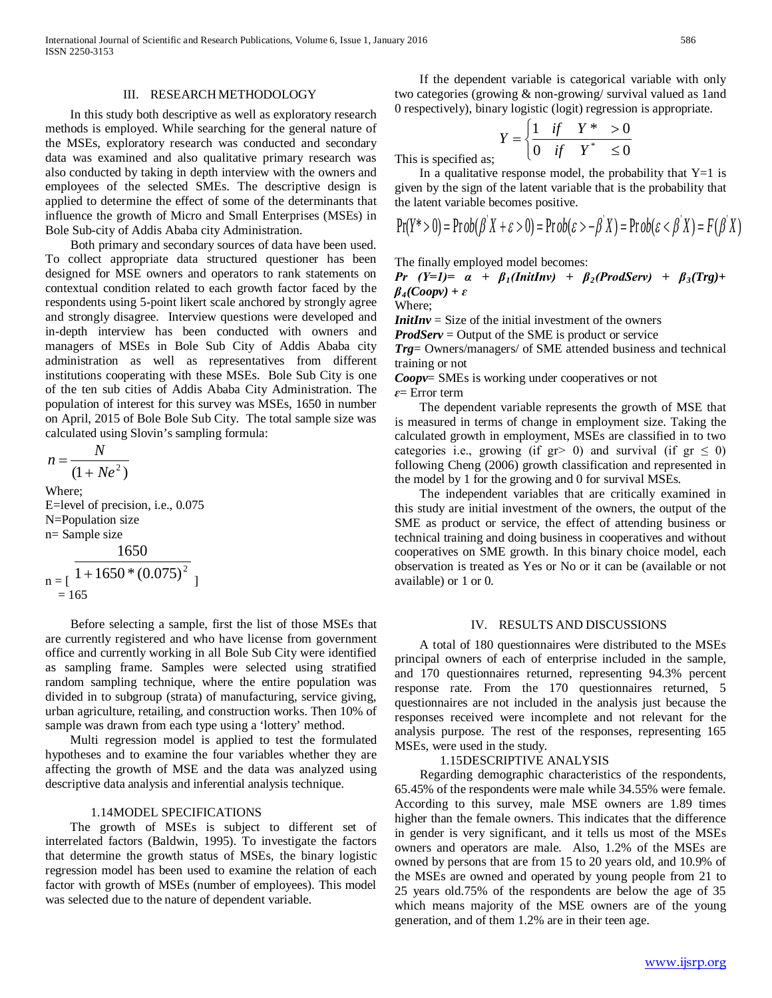International Journal of Scientific and Research Publications, Volume 6, Issue 1, January 2016 586 ISSN 2250-3153

#### III. RESEARCH METHODOLOGY

 In this study both descriptive as well as exploratory research methods is employed. While searching for the general nature of the MSEs, exploratory research was conducted and secondary data was examined and also qualitative primary research was also conducted by taking in depth interview with the owners and employees of the selected SMEs. The descriptive design is applied to determine the effect of some of the determinants that influence the growth of Micro and Small Enterprises (MSEs) in Bole Sub-city of Addis Ababa city Administration.

 Both primary and secondary sources of data have been used. To collect appropriate data structured questioner has been designed for MSE owners and operators to rank statements on contextual condition related to each growth factor faced by the respondents using 5-point likert scale anchored by strongly agree and strongly disagree. Interview questions were developed and in-depth interview has been conducted with owners and managers of MSEs in Bole Sub City of Addis Ababa city administration as well as representatives from different institutions cooperating with these MSEs. Bole Sub City is one of the ten sub cities of Addis Ababa City Administration. The population of interest for this survey was MSEs, 1650 in number on April, 2015 of Bole Bole Sub City. The total sample size was calculated using Slovin's sampling formula:

$$
n = \frac{N}{(1 + Ne^2)}
$$

Where; E=level of precision, i.e., 0.075 N=Population size n= Sample size 1650

$$
n = \left[\begin{array}{c} 1 + 1650 * (0.075)^2 \\ = 165 \end{array}\right]
$$

 Before selecting a sample, first the list of those MSEs that are currently registered and who have license from government office and currently working in all Bole Sub City were identified as sampling frame. Samples were selected using stratified random sampling technique, where the entire population was divided in to subgroup (strata) of manufacturing, service giving, urban agriculture, retailing, and construction works. Then 10% of sample was drawn from each type using a 'lottery' method.

 Multi regression model is applied to test the formulated hypotheses and to examine the four variables whether they are affecting the growth of MSE and the data was analyzed using descriptive data analysis and inferential analysis technique.

#### 1.14MODEL SPECIFICATIONS

 The growth of MSEs is subject to different set of interrelated factors (Baldwin, 1995). To investigate the factors that determine the growth status of MSEs, the binary logistic regression model has been used to examine the relation of each factor with growth of MSEs (number of employees). This model was selected due to the nature of dependent variable.

 If the dependent variable is categorical variable with only two categories (growing & non-growing/ survival valued as 1and 0 respectively), binary logistic (logit) regression is appropriate.

$$
Y = \begin{cases} \n\frac{1}{f} & \text{if } Y^* > 0 \\ \n0 & \text{if } Y^* \le 0 \n\end{cases}
$$
\nThis is specified as;

In a qualitative response model, the probability that  $Y=1$  is given by the sign of the latent variable that is the probability that the latent variable becomes positive.

$$
Pr(Y^* > 0) = Prob(\beta' X + \varepsilon > 0) = Prob(\varepsilon > -\beta' X) = Prob(\varepsilon < \beta' X) = F(\beta' X)
$$

The finally employed model becomes:

*Pr*  $(Y=1) = \alpha + \beta_1 (InitInv) + \beta_2 (Prod Serv) + \beta_3 (Trg) + \beta_4 (Terf)$  $\beta_4 (Coopy) + \varepsilon$ Where;

*InitInv* = Size of the initial investment of the owners

*ProdServ* = Output of the SME is product or service

*Trg*= Owners/managers/ of SME attended business and technical training or not

*Coopv*= SMEs is working under cooperatives or not *ɛ*= Error term

 The dependent variable represents the growth of MSE that is measured in terms of change in employment size. Taking the calculated growth in employment, MSEs are classified in to two categories i.e., growing (if gr> 0) and survival (if gr  $\le$  0) following Cheng (2006) growth classification and represented in the model by 1 for the growing and 0 for survival MSEs.

 The independent variables that are critically examined in this study are initial investment of the owners, the output of the SME as product or service, the effect of attending business or technical training and doing business in cooperatives and without cooperatives on SME growth. In this binary choice model, each observation is treated as Yes or No or it can be (available or not available) or 1 or 0.

#### IV. RESULTS AND DISCUSSIONS

 A total of 180 questionnaires were distributed to the MSEs principal owners of each of enterprise included in the sample, and 170 questionnaires returned, representing 94.3% percent response rate. From the 170 questionnaires returned, 5 questionnaires are not included in the analysis just because the responses received were incomplete and not relevant for the analysis purpose. The rest of the responses, representing 165 MSEs, were used in the study.

#### 1.15DESCRIPTIVE ANALYSIS

 Regarding demographic characteristics of the respondents, 65.45% of the respondents were male while 34.55% were female. According to this survey, male MSE owners are 1.89 times higher than the female owners. This indicates that the difference in gender is very significant, and it tells us most of the MSEs owners and operators are male. Also, 1.2% of the MSEs are owned by persons that are from 15 to 20 years old, and 10.9% of the MSEs are owned and operated by young people from 21 to 25 years old.75% of the respondents are below the age of 35 which means majority of the MSE owners are of the young generation, and of them 1.2% are in their teen age.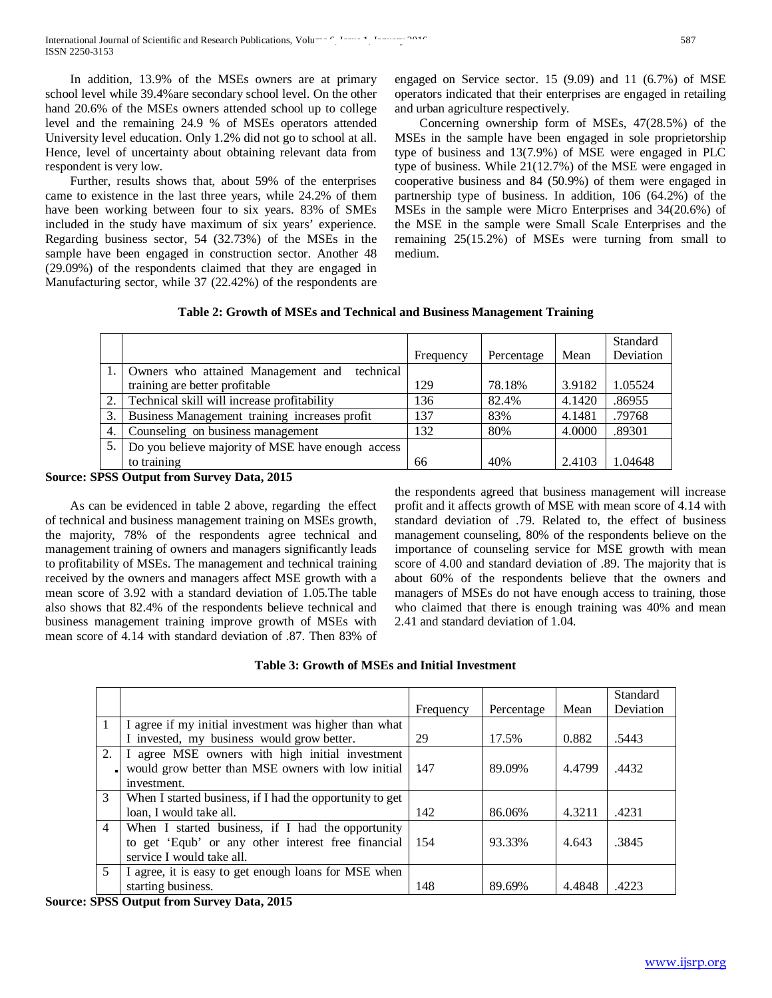In addition, 13.9% of the MSEs owners are at primary school level while 39.4%are secondary school level. On the other hand 20.6% of the MSEs owners attended school up to college level and the remaining 24.9 % of MSEs operators attended University level education. Only 1.2% did not go to school at all. Hence, level of uncertainty about obtaining relevant data from respondent is very low.

 Further, results shows that, about 59% of the enterprises came to existence in the last three years, while 24.2% of them have been working between four to six years. 83% of SMEs included in the study have maximum of six years' experience. Regarding business sector, 54 (32.73%) of the MSEs in the sample have been engaged in construction sector. Another 48 (29.09%) of the respondents claimed that they are engaged in Manufacturing sector, while 37 (22.42%) of the respondents are

engaged on Service sector. 15 (9.09) and 11 (6.7%) of MSE operators indicated that their enterprises are engaged in retailing and urban agriculture respectively.

 Concerning ownership form of MSEs, 47(28.5%) of the MSEs in the sample have been engaged in sole proprietorship type of business and 13(7.9%) of MSE were engaged in PLC type of business. While 21(12.7%) of the MSE were engaged in cooperative business and 84 (50.9%) of them were engaged in partnership type of business. In addition, 106 (64.2%) of the MSEs in the sample were Micro Enterprises and 34(20.6%) of the MSE in the sample were Small Scale Enterprises and the remaining 25(15.2%) of MSEs were turning from small to medium.

# **Table 2: Growth of MSEs and Technical and Business Management Training**

|      |                                                   |           |            |        | Standard  |
|------|---------------------------------------------------|-----------|------------|--------|-----------|
|      |                                                   | Frequency | Percentage | Mean   | Deviation |
| 1. I | Owners who attained Management and<br>technical   |           |            |        |           |
|      | training are better profitable                    | 129       | 78.18%     | 3.9182 | 1.05524   |
| 2.1  | Technical skill will increase profitability       | 136       | 82.4%      | 4.1420 | .86955    |
| 3.   | Business Management training increases profit     | 137       | 83%        | 4.1481 | .79768    |
| 4.   | Counseling on business management                 | 132       | 80%        | 4.0000 | .89301    |
| 5.   | Do you believe majority of MSE have enough access |           |            |        |           |
|      | to training                                       | 66        | 40%        | 2.4103 | 1.04648   |

# **Source: SPSS Output from Survey Data, 2015**

 As can be evidenced in table 2 above, regarding the effect of technical and business management training on MSEs growth, the majority, 78% of the respondents agree technical and management training of owners and managers significantly leads to profitability of MSEs. The management and technical training received by the owners and managers affect MSE growth with a mean score of 3.92 with a standard deviation of 1.05.The table also shows that 82.4% of the respondents believe technical and business management training improve growth of MSEs with mean score of 4.14 with standard deviation of .87. Then 83% of the respondents agreed that business management will increase profit and it affects growth of MSE with mean score of 4.14 with standard deviation of .79. Related to, the effect of business management counseling, 80% of the respondents believe on the importance of counseling service for MSE growth with mean score of 4.00 and standard deviation of .89. The majority that is about 60% of the respondents believe that the owners and managers of MSEs do not have enough access to training, those who claimed that there is enough training was 40% and mean 2.41 and standard deviation of 1.04.

# **Table 3: Growth of MSEs and Initial Investment**

|                |                                                                                                                                      | Frequency | Percentage | Mean   | Standard<br>Deviation |
|----------------|--------------------------------------------------------------------------------------------------------------------------------------|-----------|------------|--------|-----------------------|
|                | I agree if my initial investment was higher than what                                                                                |           |            |        |                       |
|                | I invested, my business would grow better.                                                                                           | 29        | 17.5%      | 0.882  | .5443                 |
| 2.             | I agree MSE owners with high initial investment                                                                                      |           |            |        |                       |
|                | would grow better than MSE owners with low initial                                                                                   | -147      | 89.09%     | 4.4799 | .4432                 |
|                | investment.                                                                                                                          |           |            |        |                       |
| 3              | When I started business, if I had the opportunity to get                                                                             |           |            |        |                       |
|                | loan, I would take all.                                                                                                              | 142       | 86.06%     | 4.3211 | .4231                 |
| $\overline{4}$ | When I started business, if I had the opportunity<br>to get 'Equb' or any other interest free financial<br>service I would take all. | 154       | 93.33%     | 4.643  | .3845                 |
| 5              | I agree, it is easy to get enough loans for MSE when                                                                                 |           |            |        |                       |
|                | starting business.                                                                                                                   | 148       | 89.69%     | 4.4848 | .4223                 |

# **Source: SPSS Output from Survey Data, 2015**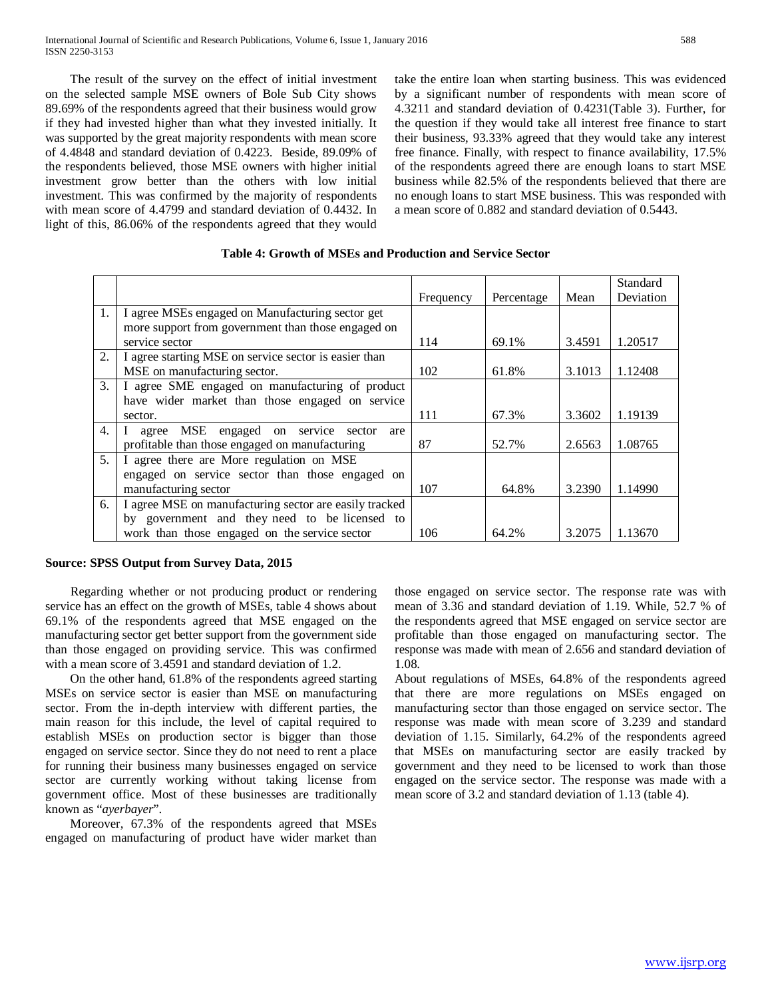The result of the survey on the effect of initial investment on the selected sample MSE owners of Bole Sub City shows 89.69% of the respondents agreed that their business would grow if they had invested higher than what they invested initially. It was supported by the great majority respondents with mean score of 4.4848 and standard deviation of 0.4223. Beside, 89.09% of the respondents believed, those MSE owners with higher initial investment grow better than the others with low initial investment. This was confirmed by the majority of respondents with mean score of 4.4799 and standard deviation of 0.4432. In light of this, 86.06% of the respondents agreed that they would

take the entire loan when starting business. This was evidenced by a significant number of respondents with mean score of 4.3211 and standard deviation of 0.4231(Table 3). Further, for the question if they would take all interest free finance to start their business, 93.33% agreed that they would take any interest free finance. Finally, with respect to finance availability, 17.5% of the respondents agreed there are enough loans to start MSE business while 82.5% of the respondents believed that there are no enough loans to start MSE business. This was responded with a mean score of 0.882 and standard deviation of 0.5443.

|                  |                                                        |           |            |        | Standard  |
|------------------|--------------------------------------------------------|-----------|------------|--------|-----------|
|                  |                                                        | Frequency | Percentage | Mean   | Deviation |
| 1.               | I agree MSEs engaged on Manufacturing sector get       |           |            |        |           |
|                  | more support from government than those engaged on     |           |            |        |           |
|                  | service sector                                         | 114       | 69.1%      | 3.4591 | 1.20517   |
| 2.               | I agree starting MSE on service sector is easier than  |           |            |        |           |
|                  | MSE on manufacturing sector.                           | 102       | 61.8%      | 3.1013 | 1.12408   |
| 3.               | I agree SME engaged on manufacturing of product        |           |            |        |           |
|                  | have wider market than those engaged on service        |           |            |        |           |
|                  | sector.                                                | 111       | 67.3%      | 3.3602 | 1.19139   |
| $\overline{4}$ . | agree MSE engaged on service sector<br>are             |           |            |        |           |
|                  | profitable than those engaged on manufacturing         | 87        | 52.7%      | 2.6563 | 1.08765   |
| 5 <sub>1</sub>   | I agree there are More regulation on MSE               |           |            |        |           |
|                  | engaged on service sector than those engaged on        |           |            |        |           |
|                  | manufacturing sector                                   | 107       | 64.8%      | 3.2390 | 1.14990   |
| 6.               | I agree MSE on manufacturing sector are easily tracked |           |            |        |           |
|                  | by government and they need to be licensed to          |           |            |        |           |
|                  | work than those engaged on the service sector          | 106       | 64.2%      | 3.2075 | 1.13670   |

# **Table 4: Growth of MSEs and Production and Service Sector**

# **Source: SPSS Output from Survey Data, 2015**

 Regarding whether or not producing product or rendering service has an effect on the growth of MSEs, table 4 shows about 69.1% of the respondents agreed that MSE engaged on the manufacturing sector get better support from the government side than those engaged on providing service. This was confirmed with a mean score of 3.4591 and standard deviation of 1.2.

 On the other hand, 61.8% of the respondents agreed starting MSEs on service sector is easier than MSE on manufacturing sector. From the in-depth interview with different parties, the main reason for this include, the level of capital required to establish MSEs on production sector is bigger than those engaged on service sector. Since they do not need to rent a place for running their business many businesses engaged on service sector are currently working without taking license from government office. Most of these businesses are traditionally known as "*ayerbayer*".

 Moreover, 67.3% of the respondents agreed that MSEs engaged on manufacturing of product have wider market than those engaged on service sector. The response rate was with mean of 3.36 and standard deviation of 1.19. While, 52.7 % of the respondents agreed that MSE engaged on service sector are profitable than those engaged on manufacturing sector. The response was made with mean of 2.656 and standard deviation of 1.08.

About regulations of MSEs, 64.8% of the respondents agreed that there are more regulations on MSEs engaged on manufacturing sector than those engaged on service sector. The response was made with mean score of 3.239 and standard deviation of 1.15. Similarly, 64.2% of the respondents agreed that MSEs on manufacturing sector are easily tracked by government and they need to be licensed to work than those engaged on the service sector. The response was made with a mean score of 3.2 and standard deviation of 1.13 (table 4).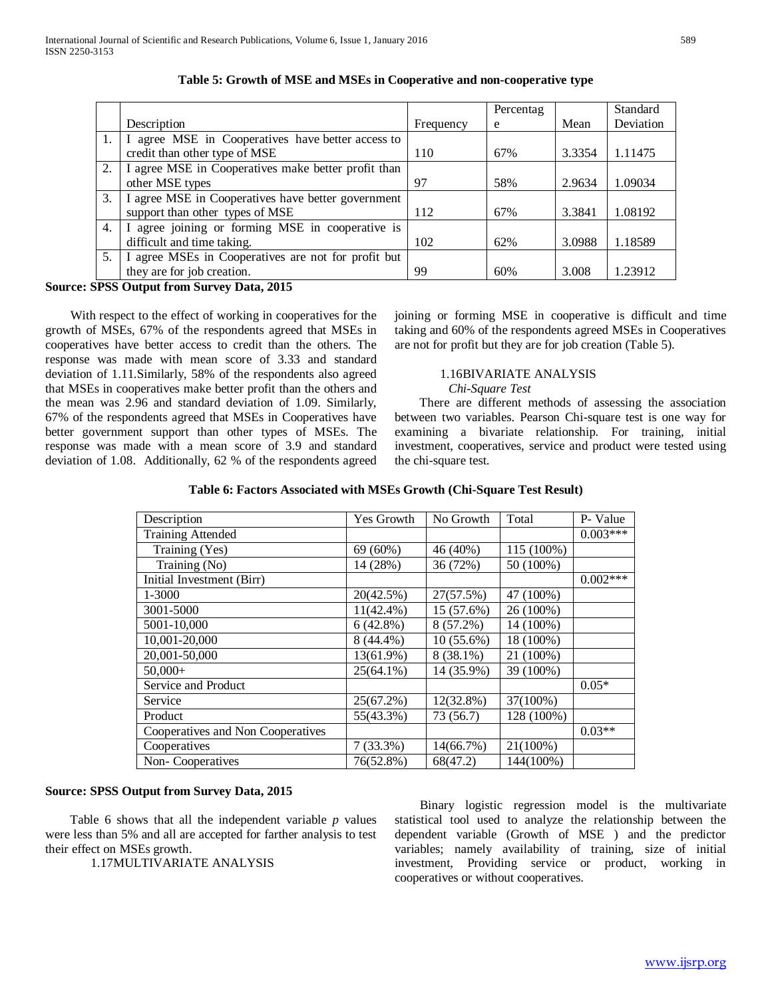|    |                                                     |           | Percentag |        | Standard  |
|----|-----------------------------------------------------|-----------|-----------|--------|-----------|
|    | Description                                         | Frequency | e         | Mean   | Deviation |
| 1. | I agree MSE in Cooperatives have better access to   |           |           |        |           |
|    | credit than other type of MSE                       | 110       | 67%       | 3.3354 | 1.11475   |
| 2. | I agree MSE in Cooperatives make better profit than |           |           |        |           |
|    | other MSE types                                     | 97        | 58%       | 2.9634 | 1.09034   |
| 3. | I agree MSE in Cooperatives have better government  |           |           |        |           |
|    | support than other types of MSE                     | 112       | 67%       | 3.3841 | 1.08192   |
| 4. | I agree joining or forming MSE in cooperative is    |           |           |        |           |
|    | difficult and time taking.                          | 102       | 62%       | 3.0988 | 1.18589   |
| 5. | I agree MSEs in Cooperatives are not for profit but |           |           |        |           |
|    | they are for job creation.                          | 99        | 60%       | 3.008  | 1.23912   |

**Source: SPSS Output from Survey Data, 2015**

 With respect to the effect of working in cooperatives for the growth of MSEs, 67% of the respondents agreed that MSEs in cooperatives have better access to credit than the others. The response was made with mean score of 3.33 and standard deviation of 1.11.Similarly, 58% of the respondents also agreed that MSEs in cooperatives make better profit than the others and the mean was 2.96 and standard deviation of 1.09. Similarly, 67% of the respondents agreed that MSEs in Cooperatives have better government support than other types of MSEs. The response was made with a mean score of 3.9 and standard deviation of 1.08. Additionally, 62 % of the respondents agreed

joining or forming MSE in cooperative is difficult and time taking and 60% of the respondents agreed MSEs in Cooperatives are not for profit but they are for job creation (Table 5).

# 1.16BIVARIATE ANALYSIS

 *Chi-Square Test*

 There are different methods of assessing the association between two variables. Pearson Chi-square test is one way for examining a bivariate relationship. For training, initial investment, cooperatives, service and product were tested using the chi-square test.

| Description                       | Yes Growth   | No Growth   | Total      | P- Value   |
|-----------------------------------|--------------|-------------|------------|------------|
| <b>Training Attended</b>          |              |             |            | $0.003***$ |
| Training (Yes)                    | 69 (60%)     | 46 (40%)    | 115 (100%) |            |
| Training (No)                     | 14 (28%)     | 36 (72%)    | 50 (100%)  |            |
| Initial Investment (Birr)         |              |             |            | $0.002***$ |
| 1-3000                            | 20(42.5%)    | 27(57.5%)   | 47 (100%)  |            |
| 3001-5000                         | $11(42.4\%)$ | 15 (57.6%)  | 26 (100%)  |            |
| 5001-10,000                       | 6(42.8%)     | $8(57.2\%)$ | 14 (100%)  |            |
| 10,001-20,000                     | 8 (44.4%)    | 10 (55.6%)  | 18 (100%)  |            |
| 20,001-50,000                     | 13(61.9%)    | $8(38.1\%)$ | 21 (100%)  |            |
| $50,000+$                         | $25(64.1\%)$ | 14 (35.9%)  | 39 (100%)  |            |
| Service and Product               |              |             |            | $0.05*$    |
| Service                           | 25(67.2%)    | 12(32.8%)   | 37(100%)   |            |
| Product                           | 55(43.3%)    | 73 (56.7)   | 128 (100%) |            |
| Cooperatives and Non Cooperatives |              |             |            | $0.03**$   |
| Cooperatives                      | $7(33.3\%)$  | 14(66.7%)   | 21(100%)   |            |
| Non-Cooperatives                  | 76(52.8%)    | 68(47.2)    | 144(100%)  |            |

# **Source: SPSS Output from Survey Data, 2015**

 Table 6 shows that all the independent variable *p* values were less than 5% and all are accepted for farther analysis to test their effect on MSEs growth.

1.17MULTIVARIATE ANALYSIS

 Binary logistic regression model is the multivariate statistical tool used to analyze the relationship between the dependent variable (Growth of MSE ) and the predictor variables; namely availability of training, size of initial investment, Providing service or product, working in cooperatives or without cooperatives.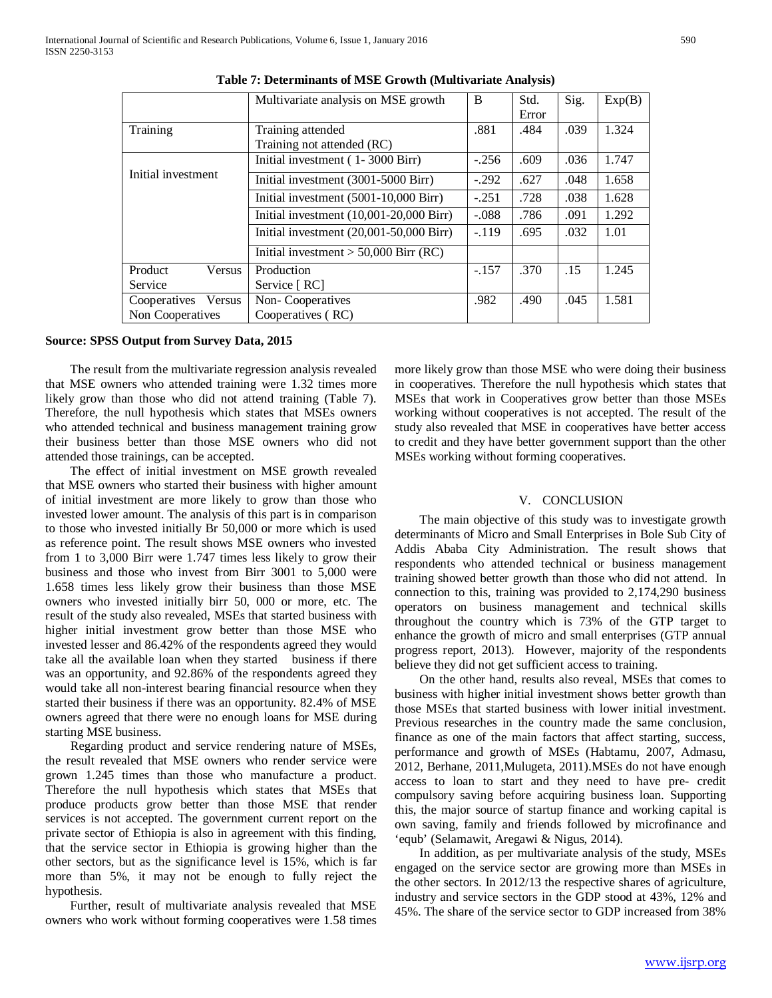|                     | Multivariate analysis on MSE growth       | B       | Std.  | Sig. | Exp(B) |
|---------------------|-------------------------------------------|---------|-------|------|--------|
|                     |                                           |         | Error |      |        |
| Training            | Training attended                         | .881    | .484  | .039 | 1.324  |
|                     | Training not attended (RC)                |         |       |      |        |
|                     | Initial investment (1-3000 Birr)          | $-.256$ | .609  | .036 | 1.747  |
| Initial investment  | Initial investment (3001-5000 Birr)       | $-.292$ | .627  | .048 | 1.658  |
|                     | Initial investment (5001-10,000 Birr)     | $-.251$ | .728  | .038 | 1.628  |
|                     | Initial investment $(10,001-20,000$ Birr) | $-.088$ | .786  | .091 | 1.292  |
|                     | Initial investment $(20,001-50,000$ Birr) | $-.119$ | .695  | .032 | 1.01   |
|                     | Initial investment $> 50,000$ Birr (RC)   |         |       |      |        |
| Product<br>Versus   | Production                                | $-.157$ | .370  | .15  | 1.245  |
| Service             | Service [ RC]                             |         |       |      |        |
| Cooperatives Versus | Non-Cooperatives                          | .982    | .490  | .045 | 1.581  |
| Non Cooperatives    | Cooperatives (RC)                         |         |       |      |        |

**Table 7: Determinants of MSE Growth (Multivariate Analysis)**

**Source: SPSS Output from Survey Data, 2015**

 The result from the multivariate regression analysis revealed that MSE owners who attended training were 1.32 times more likely grow than those who did not attend training (Table 7). Therefore, the null hypothesis which states that MSEs owners who attended technical and business management training grow their business better than those MSE owners who did not attended those trainings, can be accepted.

 The effect of initial investment on MSE growth revealed that MSE owners who started their business with higher amount of initial investment are more likely to grow than those who invested lower amount. The analysis of this part is in comparison to those who invested initially Br 50,000 or more which is used as reference point. The result shows MSE owners who invested from 1 to 3,000 Birr were 1.747 times less likely to grow their business and those who invest from Birr 3001 to 5,000 were 1.658 times less likely grow their business than those MSE owners who invested initially birr 50, 000 or more, etc. The result of the study also revealed, MSEs that started business with higher initial investment grow better than those MSE who invested lesser and 86.42% of the respondents agreed they would take all the available loan when they started business if there was an opportunity, and 92.86% of the respondents agreed they would take all non-interest bearing financial resource when they started their business if there was an opportunity. 82.4% of MSE owners agreed that there were no enough loans for MSE during starting MSE business.

 Regarding product and service rendering nature of MSEs, the result revealed that MSE owners who render service were grown 1.245 times than those who manufacture a product. Therefore the null hypothesis which states that MSEs that produce products grow better than those MSE that render services is not accepted. The government current report on the private sector of Ethiopia is also in agreement with this finding, that the service sector in Ethiopia is growing higher than the other sectors, but as the significance level is 15%, which is far more than 5%, it may not be enough to fully reject the hypothesis.

 Further, result of multivariate analysis revealed that MSE owners who work without forming cooperatives were 1.58 times

more likely grow than those MSE who were doing their business in cooperatives. Therefore the null hypothesis which states that MSEs that work in Cooperatives grow better than those MSEs working without cooperatives is not accepted. The result of the study also revealed that MSE in cooperatives have better access to credit and they have better government support than the other MSEs working without forming cooperatives.

### V. CONCLUSION

 The main objective of this study was to investigate growth determinants of Micro and Small Enterprises in Bole Sub City of Addis Ababa City Administration. The result shows that respondents who attended technical or business management training showed better growth than those who did not attend. In connection to this, training was provided to 2,174,290 business operators on business management and technical skills throughout the country which is 73% of the GTP target to enhance the growth of micro and small enterprises (GTP annual progress report, 2013). However, majority of the respondents believe they did not get sufficient access to training.

 On the other hand, results also reveal, MSEs that comes to business with higher initial investment shows better growth than those MSEs that started business with lower initial investment. Previous researches in the country made the same conclusion, finance as one of the main factors that affect starting, success, performance and growth of MSEs (Habtamu, 2007, Admasu, 2012, Berhane, 2011,Mulugeta, 2011).MSEs do not have enough access to loan to start and they need to have pre- credit compulsory saving before acquiring business loan. Supporting this, the major source of startup finance and working capital is own saving, family and friends followed by microfinance and 'equb' (Selamawit, Aregawi & Nigus, 2014).

 In addition, as per multivariate analysis of the study, MSEs engaged on the service sector are growing more than MSEs in the other sectors. In 2012/13 the respective shares of agriculture, industry and service sectors in the GDP stood at 43%, 12% and 45%. The share of the service sector to GDP increased from 38%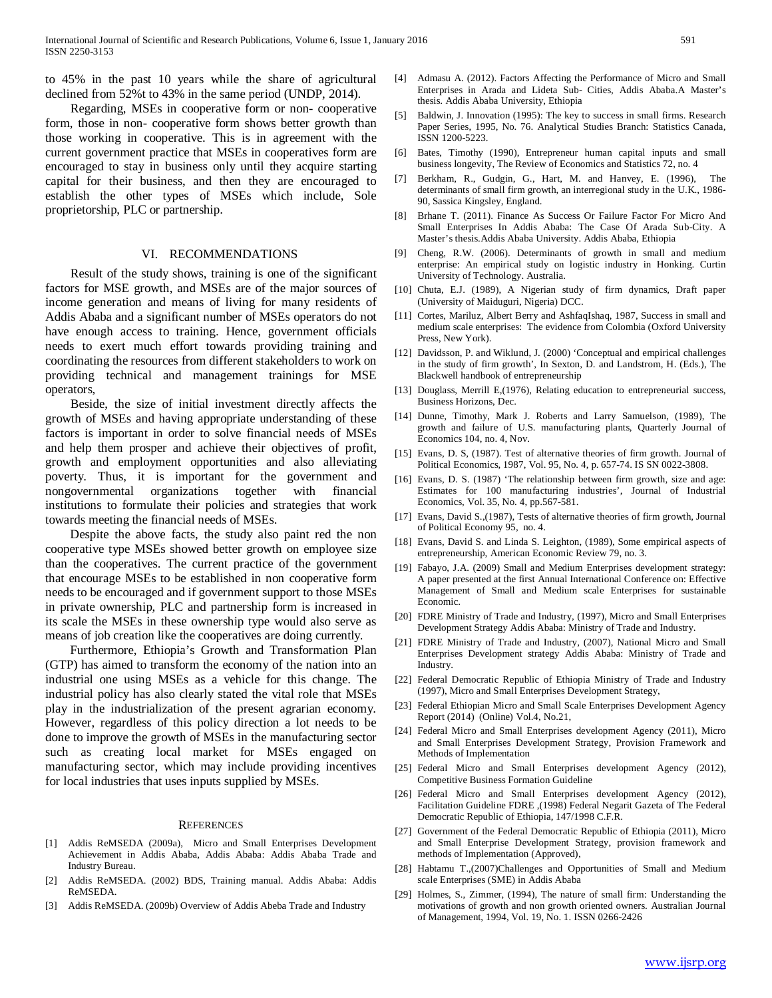to 45% in the past 10 years while the share of agricultural declined from 52%t to 43% in the same period (UNDP, 2014).

 Regarding, MSEs in cooperative form or non- cooperative form, those in non- cooperative form shows better growth than those working in cooperative. This is in agreement with the current government practice that MSEs in cooperatives form are encouraged to stay in business only until they acquire starting capital for their business, and then they are encouraged to establish the other types of MSEs which include, Sole proprietorship, PLC or partnership.

#### VI. RECOMMENDATIONS

 Result of the study shows, training is one of the significant factors for MSE growth, and MSEs are of the major sources of income generation and means of living for many residents of Addis Ababa and a significant number of MSEs operators do not have enough access to training. Hence, government officials needs to exert much effort towards providing training and coordinating the resources from different stakeholders to work on providing technical and management trainings for MSE operators,

 Beside, the size of initial investment directly affects the growth of MSEs and having appropriate understanding of these factors is important in order to solve financial needs of MSEs and help them prosper and achieve their objectives of profit, growth and employment opportunities and also alleviating poverty. Thus, it is important for the government and nongovernmental organizations together with financial institutions to formulate their policies and strategies that work towards meeting the financial needs of MSEs.

 Despite the above facts, the study also paint red the non cooperative type MSEs showed better growth on employee size than the cooperatives. The current practice of the government that encourage MSEs to be established in non cooperative form needs to be encouraged and if government support to those MSEs in private ownership, PLC and partnership form is increased in its scale the MSEs in these ownership type would also serve as means of job creation like the cooperatives are doing currently.

 Furthermore, Ethiopia's Growth and Transformation Plan (GTP) has aimed to transform the economy of the nation into an industrial one using MSEs as a vehicle for this change. The industrial policy has also clearly stated the vital role that MSEs play in the industrialization of the present agrarian economy. However, regardless of this policy direction a lot needs to be done to improve the growth of MSEs in the manufacturing sector such as creating local market for MSEs engaged on manufacturing sector, which may include providing incentives for local industries that uses inputs supplied by MSEs.

#### **REFERENCES**

- [1] Addis ReMSEDA (2009a), Micro and Small Enterprises Development Achievement in Addis Ababa, Addis Ababa: Addis Ababa Trade and Industry Bureau.
- [2] Addis ReMSEDA. (2002) BDS, Training manual. Addis Ababa: Addis ReMSEDA.
- [3] Addis ReMSEDA. (2009b) Overview of Addis Abeba Trade and Industry
- [4] Admasu A. (2012). Factors Affecting the Performance of Micro and Small Enterprises in Arada and Lideta Sub- Cities, Addis Ababa.A Master's thesis. Addis Ababa University, Ethiopia
- [5] Baldwin, J. Innovation (1995): The key to success in small firms. Research Paper Series, 1995, No. 76. Analytical Studies Branch: Statistics Canada, ISSN 1200-5223.
- [6] Bates, Timothy (1990), Entrepreneur human capital inputs and small business longevity, The Review of Economics and Statistics 72, no. 4
- [7] Berkham, R., Gudgin, G., Hart, M. and Hanvey, E. (1996), The determinants of small firm growth, an interregional study in the U.K., 1986- 90, Sassica Kingsley, England.
- [8] Brhane T. (2011). Finance As Success Or Failure Factor For Micro And Small Enterprises In Addis Ababa: The Case Of Arada Sub-City. A Master's thesis.Addis Ababa University. Addis Ababa, Ethiopia
- [9] Cheng, R.W. (2006). Determinants of growth in small and medium enterprise: An empirical study on logistic industry in Honking. Curtin University of Technology. Australia.
- [10] Chuta, E.J. (1989), A Nigerian study of firm dynamics, Draft paper (University of Maiduguri, Nigeria) DCC.
- [11] Cortes, Mariluz, Albert Berry and AshfaqIshaq, 1987, Success in small and medium scale enterprises: The evidence from Colombia (Oxford University Press, New York).
- [12] Davidsson, P. and Wiklund, J. (2000) 'Conceptual and empirical challenges in the study of firm growth', In Sexton, D. and Landstrom, H. (Eds.), The Blackwell handbook of entrepreneurship
- [13] Douglass, Merrill E,(1976), Relating education to entrepreneurial success, Business Horizons, Dec.
- [14] Dunne, Timothy, Mark J. Roberts and Larry Samuelson, (1989), The growth and failure of U.S. manufacturing plants, Quarterly Journal of Economics 104, no. 4, Nov.
- [15] Evans, D. S, (1987). Test of alternative theories of firm growth. Journal of Political Economics, 1987, Vol. 95, No. 4, p. 657-74. IS SN 0022-3808.
- [16] Evans, D. S. (1987) 'The relationship between firm growth, size and age: Estimates for 100 manufacturing industries', Journal of Industrial Economics, Vol. 35, No. 4, pp.567-581.
- [17] Evans, David S.,(1987), Tests of alternative theories of firm growth, Journal of Political Economy 95, no. 4.
- [18] Evans, David S. and Linda S. Leighton, (1989), Some empirical aspects of entrepreneurship, American Economic Review 79, no. 3.
- [19] Fabayo, J.A. (2009) Small and Medium Enterprises development strategy: A paper presented at the first Annual International Conference on: Effective Management of Small and Medium scale Enterprises for sustainable Economic.
- [20] FDRE Ministry of Trade and Industry, (1997), Micro and Small Enterprises Development Strategy Addis Ababa: Ministry of Trade and Industry.
- [21] FDRE Ministry of Trade and Industry, (2007), National Micro and Small Enterprises Development strategy Addis Ababa: Ministry of Trade and Industry.
- [22] Federal Democratic Republic of Ethiopia Ministry of Trade and Industry (1997), Micro and Small Enterprises Development Strategy,
- [23] Federal Ethiopian Micro and Small Scale Enterprises Development Agency Report (2014) (Online) Vol.4, No.21,
- [24] Federal Micro and Small Enterprises development Agency (2011), Micro and Small Enterprises Development Strategy, Provision Framework and Methods of Implementation
- [25] Federal Micro and Small Enterprises development Agency (2012), Competitive Business Formation Guideline
- [26] Federal Micro and Small Enterprises development Agency (2012), Facilitation Guideline FDRE ,(1998) Federal Negarit Gazeta of The Federal Democratic Republic of Ethiopia, 147/1998 C.F.R.
- [27] Government of the Federal Democratic Republic of Ethiopia (2011), Micro and Small Enterprise Development Strategy, provision framework and methods of Implementation (Approved),
- [28] Habtamu T.,(2007)Challenges and Opportunities of Small and Medium scale Enterprises (SME) in Addis Ababa
- [29] Holmes, S., Zimmer, (1994), The nature of small firm: Understanding the motivations of growth and non growth oriented owners. Australian Journal of Management, 1994, Vol. 19, No. 1. ISSN 0266-2426